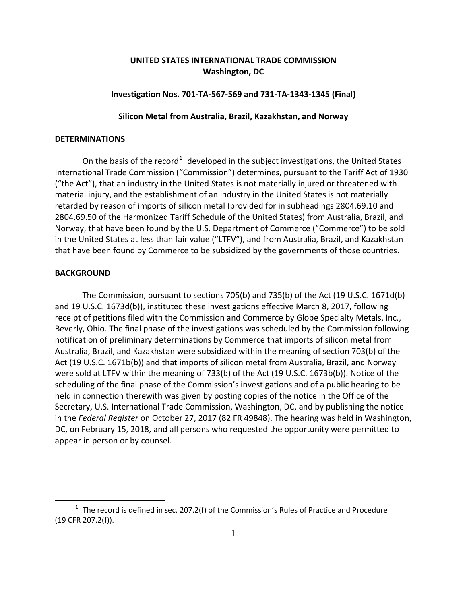# **UNITED STATES INTERNATIONAL TRADE COMMISSION Washington, DC**

### **Investigation Nos. 701-TA-567-569 and 731-TA-1343-1345 (Final)**

## **Silicon Metal from Australia, Brazil, Kazakhstan, and Norway**

### **DETERMINATIONS**

On the basis of the record<sup>[1](#page-0-0)</sup> developed in the subject investigations, the United States International Trade Commission ("Commission") determines, pursuant to the Tariff Act of 1930 ("the Act"), that an industry in the United States is not materially injured or threatened with material injury, and the establishment of an industry in the United States is not materially retarded by reason of imports of silicon metal (provided for in subheadings 2804.69.10 and 2804.69.50 of the Harmonized Tariff Schedule of the United States) from Australia, Brazil, and Norway, that have been found by the U.S. Department of Commerce ("Commerce") to be sold in the United States at less than fair value ("LTFV"), and from Australia, Brazil, and Kazakhstan that have been found by Commerce to be subsidized by the governments of those countries.

# **BACKGROUND**

 $\overline{a}$ 

The Commission, pursuant to sections 705(b) and 735(b) of the Act (19 U.S.C. 1671d(b) and 19 U.S.C. 1673d(b)), instituted these investigations effective March 8, 2017, following receipt of petitions filed with the Commission and Commerce by Globe Specialty Metals, Inc., Beverly, Ohio. The final phase of the investigations was scheduled by the Commission following notification of preliminary determinations by Commerce that imports of silicon metal from Australia, Brazil, and Kazakhstan were subsidized within the meaning of section 703(b) of the Act (19 U.S.C. 1671b(b)) and that imports of silicon metal from Australia, Brazil, and Norway were sold at LTFV within the meaning of 733(b) of the Act (19 U.S.C. 1673b(b)). Notice of the scheduling of the final phase of the Commission's investigations and of a public hearing to be held in connection therewith was given by posting copies of the notice in the Office of the Secretary, U.S. International Trade Commission, Washington, DC, and by publishing the notice in the *Federal Register* on October 27, 2017 (82 FR 49848). The hearing was held in Washington, DC, on February 15, 2018, and all persons who requested the opportunity were permitted to appear in person or by counsel.

<span id="page-0-0"></span> $1$  The record is defined in sec. 207.2(f) of the Commission's Rules of Practice and Procedure (19 CFR 207.2(f)).